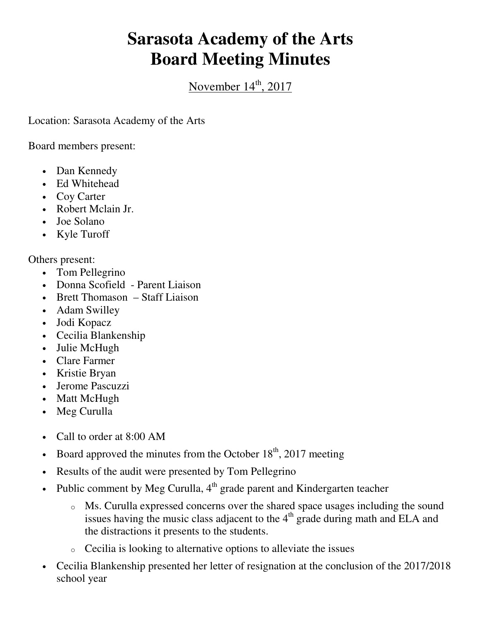## **Sarasota Academy of the Arts Board Meeting Minutes**

November 14<sup>th</sup>, 2017

Location: Sarasota Academy of the Arts

Board members present:

- Dan Kennedy
- Ed Whitehead
- Coy Carter
- Robert Mclain Jr.
- Joe Solano
- Kyle Turoff

Others present:

- Tom Pellegrino
- Donna Scofield Parent Liaison
- Brett Thomason Staff Liaison
- Adam Swilley
- Jodi Kopacz
- Cecilia Blankenship
- Julie McHugh
- Clare Farmer
- Kristie Bryan
- Jerome Pascuzzi
- Matt McHugh
- Meg Curulla
- Call to order at 8:00 AM
- Board approved the minutes from the October  $18<sup>th</sup>$ , 2017 meeting
- Results of the audit were presented by Tom Pellegrino
- Public comment by Meg Curulla,  $4<sup>th</sup>$  grade parent and Kindergarten teacher
	- o Ms. Curulla expressed concerns over the shared space usages including the sound issues having the music class adjacent to the  $4<sup>th</sup>$  grade during math and ELA and the distractions it presents to the students.
	- $\circ$  Cecilia is looking to alternative options to alleviate the issues
- Cecilia Blankenship presented her letter of resignation at the conclusion of the 2017/2018 school year